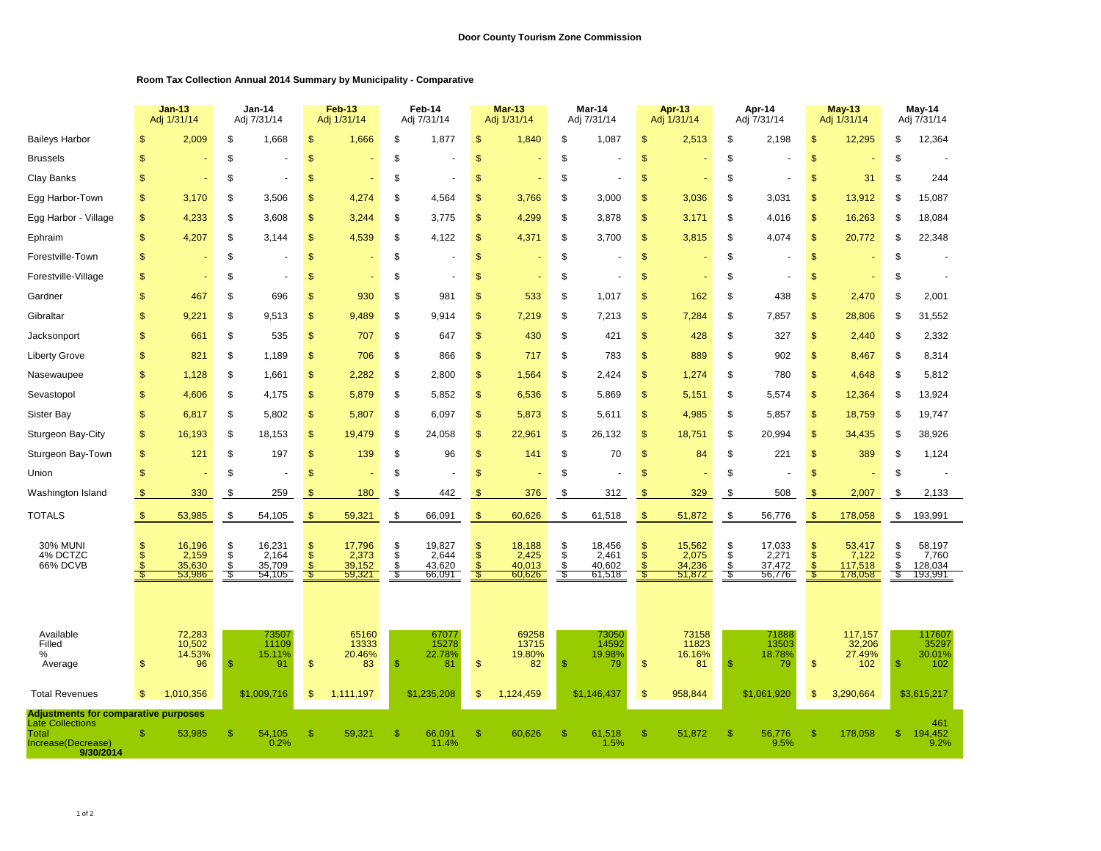## **Room Tax Collection Annual 2014 Summary by Municipality - Comparative**

|                                                                                                                    |                                            | <b>Jan-13</b><br>Adj 1/31/14        |                                | Jan-14<br>Adj 7/31/14               |                                           | Feb-13<br>Adj 1/31/14               |                       | Feb-14<br>Adj 7/31/14               |                                | <b>Mar-13</b><br>Adj 1/31/14        |                     | Mar-14<br>Adj 7/31/14               |                                              | <b>Apr-13</b><br>Adj 1/31/14        |                                      | Apr-14<br>Adj 7/31/14               |                                       | <b>May-13</b><br>Adj 1/31/14          |                      | May-14<br>Adj 7/31/14                 |
|--------------------------------------------------------------------------------------------------------------------|--------------------------------------------|-------------------------------------|--------------------------------|-------------------------------------|-------------------------------------------|-------------------------------------|-----------------------|-------------------------------------|--------------------------------|-------------------------------------|---------------------|-------------------------------------|----------------------------------------------|-------------------------------------|--------------------------------------|-------------------------------------|---------------------------------------|---------------------------------------|----------------------|---------------------------------------|
| <b>Baileys Harbor</b>                                                                                              | \$                                         | 2,009                               | \$                             | 1,668                               | $\mathsf{\$}$                             | 1,666                               | \$                    | 1,877                               | \$                             | 1,840                               | \$                  | 1,087                               | $\mathfrak{s}$                               | 2,513                               | \$                                   | 2,198                               | $\mathfrak{s}$                        | 12,295                                | \$                   | 12,364                                |
| <b>Brussels</b>                                                                                                    | $\mathsf{\$}$                              |                                     | \$                             |                                     | $\mathfrak{s}$                            |                                     | \$                    |                                     | \$                             |                                     | \$                  |                                     | $\mathfrak{s}$                               |                                     | \$                                   |                                     | $\mathfrak{s}$                        |                                       | \$                   |                                       |
| Clay Banks                                                                                                         | $\mathfrak{s}$                             |                                     | \$                             |                                     | $\mathfrak{s}$                            |                                     | \$                    |                                     | \$                             |                                     | \$                  |                                     | $\mathfrak{s}$                               |                                     | \$                                   |                                     | \$                                    | 31                                    | \$                   | 244                                   |
| Egg Harbor-Town                                                                                                    | \$                                         | 3,170                               | \$                             | 3,506                               | \$                                        | 4,274                               | \$                    | 4,564                               | \$                             | 3,766                               | S                   | 3,000                               | $\sqrt[6]{3}$                                | 3,036                               | S                                    | 3,031                               | <sup>\$</sup>                         | 13,912                                | \$                   | 15,087                                |
| Egg Harbor - Village                                                                                               | $\mathfrak{s}$                             | 4,233                               | \$                             | 3.608                               | \$                                        | 3,244                               | \$                    | 3.775                               | \$                             | 4,299                               | \$                  | 3,878                               | $\mathfrak{S}$                               | 3.171                               | \$                                   | 4,016                               | $\mathbf{s}$                          | 16,263                                | \$                   | 18,084                                |
| Ephraim                                                                                                            | $\mathbf{s}$                               | 4,207                               | \$                             | 3.144                               | \$                                        | 4,539                               | \$                    | 4,122                               | \$                             | 4,371                               | S                   | 3,700                               | $\mathfrak{s}$                               | 3,815                               | \$                                   | 4.074                               | $\mathfrak{s}$                        | 20,772                                | S                    | 22,348                                |
| Forestville-Town                                                                                                   | $\mathfrak{s}$                             |                                     | \$                             |                                     | $\mathfrak{s}$                            |                                     | \$                    |                                     | \$                             |                                     | \$                  |                                     | $\mathfrak{s}$                               |                                     | \$                                   |                                     | $\mathfrak{s}$                        |                                       | \$                   |                                       |
| Forestville-Village                                                                                                | $\mathbb{S}$                               |                                     | \$                             |                                     | $\mathbb{S}$                              |                                     | \$                    |                                     | <sub>\$</sub>                  |                                     | \$                  |                                     | $\mathbb{S}$                                 |                                     | \$                                   |                                     | \$                                    |                                       | S                    |                                       |
| Gardner                                                                                                            | $\mathfrak{s}$                             | 467                                 | \$                             | 696                                 | $\mathfrak{s}$                            | 930                                 | \$                    | 981                                 | \$                             | 533                                 | \$                  | 1,017                               | \$                                           | 162                                 | \$                                   | 438                                 | \$                                    | 2,470                                 | \$                   | 2,001                                 |
| Gibraltar                                                                                                          | $\mathsf{\$}$                              | 9,221                               | \$                             | 9,513                               | $\mathfrak{s}$                            | 9,489                               | \$                    | 9,914                               | \$                             | 7,219                               | \$                  | 7,213                               | $\mathfrak{s}$                               | 7,284                               | \$                                   | 7,857                               | $\mathfrak{s}$                        | 28,806                                | \$                   | 31,552                                |
| Jacksonport                                                                                                        | $\mathsf{\$}$                              | 661                                 | \$                             | 535                                 | $\mathfrak{s}$                            | 707                                 | \$                    | 647                                 | \$                             | 430                                 | \$                  | 421                                 | $\mathfrak{s}$                               | 428                                 | \$                                   | 327                                 | $\mathfrak{s}$                        | 2,440                                 | \$                   | 2,332                                 |
| <b>Liberty Grove</b>                                                                                               | $\mathsf{\$}$                              | 821                                 | \$                             | 1,189                               | $\mathfrak{s}$                            | 706                                 | \$                    | 866                                 | $\mathsf{\$}$                  | 717                                 | \$                  | 783                                 | $\sqrt{2}$                                   | 889                                 | \$                                   | 902                                 | $\mathfrak{s}$                        | 8,467                                 | \$                   | 8,314                                 |
| Nasewaupee                                                                                                         | $\mathsf{\$}$                              | 1,128                               | \$                             | 1,661                               | $\mathfrak{s}$                            | 2,282                               | \$                    | 2,800                               | \$                             | 1,564                               | \$                  | 2,424                               | $\sqrt{3}$                                   | 1,274                               | \$                                   | 780                                 | \$                                    | 4,648                                 | \$                   | 5,812                                 |
| Sevastopol                                                                                                         | \$                                         | 4,606                               | \$                             | 4,175                               | $\mathfrak{s}$                            | 5,879                               | \$                    | 5,852                               | \$                             | 6,536                               | \$                  | 5,869                               | $\sqrt{2}$                                   | 5,151                               | \$                                   | 5,574                               | $\sqrt{2}$                            | 12,364                                | \$                   | 13,924                                |
| Sister Bay                                                                                                         | \$                                         | 6,817                               | \$                             | 5,802                               | \$                                        | 5,807                               | \$                    | 6,097                               | \$                             | 5,873                               | \$                  | 5,611                               | $\sqrt[6]{3}$                                | 4,985                               | \$                                   | 5,857                               | $\sqrt{2}$                            | 18,759                                | \$                   | 19,747                                |
| Sturgeon Bay-City                                                                                                  | \$                                         | 16,193                              | \$                             | 18,153                              | $\mathfrak{s}$                            | 19,479                              | \$                    | 24,058                              | \$                             | 22,961                              | \$                  | 26,132                              | $\sqrt{2}$                                   | 18,751                              | \$                                   | 20,994                              | $\sqrt{2}$                            | 34,435                                | \$                   | 38,926                                |
| Sturgeon Bay-Town                                                                                                  | $\mathsf{\$}$                              | 121                                 | \$                             | 197                                 | $\mathfrak{s}$                            | 139                                 | \$                    | 96                                  | $\mathsf{\$}$                  | 141                                 | \$                  | 70                                  | $\mathfrak{s}$                               | 84                                  | \$                                   | 221                                 | $\mathfrak{s}$                        | 389                                   | \$                   | 1,124                                 |
| Union                                                                                                              | $\mathsf{\$}$                              |                                     | \$                             |                                     | $\mathfrak{s}$                            |                                     | \$                    |                                     | \$                             |                                     | \$                  |                                     | $\mathfrak{s}$                               |                                     | \$                                   |                                     | $\mathfrak{s}$                        | ٠                                     | \$                   |                                       |
| Washington Island                                                                                                  | \$                                         | 330                                 | \$                             | 259                                 | \$.                                       | 180                                 | \$                    | 442                                 | $\mathfrak{F}$                 | 376                                 | \$                  | 312                                 | $\mathfrak{s}$                               | 329                                 | \$                                   | 508                                 | \$.                                   | 2,007                                 | \$                   | 2,133                                 |
| TOTALS                                                                                                             | $\frac{1}{2}$                              | 53,985                              | \$                             | 54,105                              | $\frac{1}{2}$                             | 59,321                              | \$                    | 66,091                              | $\frac{1}{2}$                  | 60,626                              | \$                  | 61,518                              | $\sqrt[6]{3}$                                | 51,872                              | \$                                   | 56,776                              | $\sqrt[6]{3}$                         | 178,058                               | \$                   | 193,991                               |
| <b>30% MUNI</b><br>4% DCTZC<br>66% DCVB                                                                            | <sup>\$</sup><br>\$<br><sup>\$</sup><br>-S | 16,196<br>2,159<br>35.630<br>53,986 | \$<br>$\ddot{s}$<br>\$<br>- \$ | 16,231<br>2,164<br>35.709<br>54,105 | \$<br>$\mathsf{\$}$<br>$\mathcal{S}$<br>S | 17,796<br>2,373<br>39.152<br>59,321 | \$<br>\$<br>\$<br>-\$ | 19,827<br>2,644<br>43,620<br>66,091 | \$<br>$\mathbf{s}$<br>£.<br>-S | 18,188<br>2,425<br>40.013<br>60,626 | \$<br>\$<br>£.<br>S | 18,456<br>2,461<br>40,602<br>61,518 | $\sqrt{2}$<br>$\mathfrak{S}$<br>$\mathbb{S}$ | 15,562<br>2,075<br>34,236<br>51,872 | \$<br>$\ddot{s}$<br>$\ddot{s}$<br>\$ | 17,033<br>2,271<br>37,472<br>56,776 | $\sqrt[6]{3}$<br>$\mathbf{s}$<br>- \$ | 53,417<br>7,122<br>117,518<br>178,058 | \$<br>\$<br>\$<br>£, | 58,197<br>7,760<br>128,034<br>193,991 |
| Available<br>Filled<br>%<br>Average                                                                                | \$                                         | 72,283<br>10,502<br>14.53%<br>96    | $\mathsf{\$}$                  | 73507<br>11109<br>15.11%<br>91      | $\mathfrak{s}$                            | 65160<br>13333<br>20.46%<br>83      | $\mathbf{s}$          | 67077<br>15278<br>22.78%<br>81      | \$                             | 69258<br>13715<br>19.80%<br>82      | $\mathsf{\$}$       | 73050<br>14592<br>19.98%<br>79      | $\mathfrak{s}$                               | 73158<br>11823<br>16.16%<br>81      | \$                                   | 71888<br>13503<br>18.78%<br>79      | $\mathfrak{s}$                        | 117,157<br>32,206<br>27.49%<br>102    | $\mathbf S$          | 117607<br>35297<br>30.01%<br>102      |
| <b>Total Revenues</b>                                                                                              | \$                                         | 1,010,356                           |                                | \$1,009,716                         | \$                                        | 1,111,197                           |                       | \$1,235,208                         | \$                             | 1,124,459                           |                     | \$1,146,437                         | $\mathfrak{s}$                               | 958,844                             |                                      | \$1,061,920                         | \$                                    | 3,290,664                             |                      | \$3,615,217                           |
| <b>Adjustments for comparative purposes</b><br><b>Late Collections</b><br>Total<br>Increase(Decrease)<br>9/30/2014 | \$.                                        | 53,985                              | \$                             | 54,105<br>0.2%                      | S                                         | 59,321                              | \$                    | 66,091<br>11.4%                     | \$                             | 60,626                              | <sup>\$</sup>       | 61,518<br>1.5%                      | $\mathbb{S}$                                 | 51,872                              | \$                                   | 56,776<br>9.5%                      | S                                     | 178,058                               | \$.                  | 461<br>194,452<br>9.2%                |